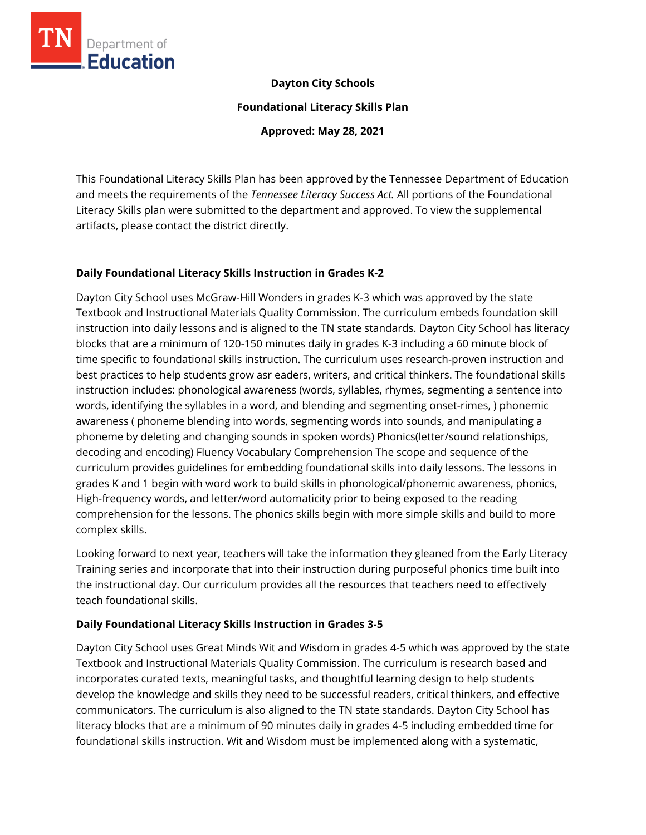

### **Dayton City Schools**

**Foundational Literacy Skills Plan**

**Approved: May 28, 2021**

This Foundational Literacy Skills Plan has been approved by the Tennessee Department of Education and meets the requirements of the *Tennessee Literacy Success Act.* All portions of the Foundational Literacy Skills plan were submitted to the department and approved. To view the supplemental artifacts, please contact the district directly.

### **Daily Foundational Literacy Skills Instruction in Grades K-2**

Dayton City School uses McGraw-Hill Wonders in grades K-3 which was approved by the state Textbook and Instructional Materials Quality Commission. The curriculum embeds foundation skill instruction into daily lessons and is aligned to the TN state standards. Dayton City School has literacy blocks that are a minimum of 120-150 minutes daily in grades K-3 including a 60 minute block of time specific to foundational skills instruction. The curriculum uses research-proven instruction and best practices to help students grow asr eaders, writers, and critical thinkers. The foundational skills instruction includes: phonological awareness (words, syllables, rhymes, segmenting a sentence into words, identifying the syllables in a word, and blending and segmenting onset-rimes, ) phonemic awareness ( phoneme blending into words, segmenting words into sounds, and manipulating a phoneme by deleting and changing sounds in spoken words) Phonics(letter/sound relationships, decoding and encoding) Fluency Vocabulary Comprehension The scope and sequence of the curriculum provides guidelines for embedding foundational skills into daily lessons. The lessons in grades K and 1 begin with word work to build skills in phonological/phonemic awareness, phonics, High-frequency words, and letter/word automaticity prior to being exposed to the reading comprehension for the lessons. The phonics skills begin with more simple skills and build to more complex skills.

Looking forward to next year, teachers will take the information they gleaned from the Early Literacy Training series and incorporate that into their instruction during purposeful phonics time built into the instructional day. Our curriculum provides all the resources that teachers need to effectively teach foundational skills.

### **Daily Foundational Literacy Skills Instruction in Grades 3-5**

Dayton City School uses Great Minds Wit and Wisdom in grades 4-5 which was approved by the state Textbook and Instructional Materials Quality Commission. The curriculum is research based and incorporates curated texts, meaningful tasks, and thoughtful learning design to help students develop the knowledge and skills they need to be successful readers, critical thinkers, and effective communicators. The curriculum is also aligned to the TN state standards. Dayton City School has literacy blocks that are a minimum of 90 minutes daily in grades 4-5 including embedded time for foundational skills instruction. Wit and Wisdom must be implemented along with a systematic,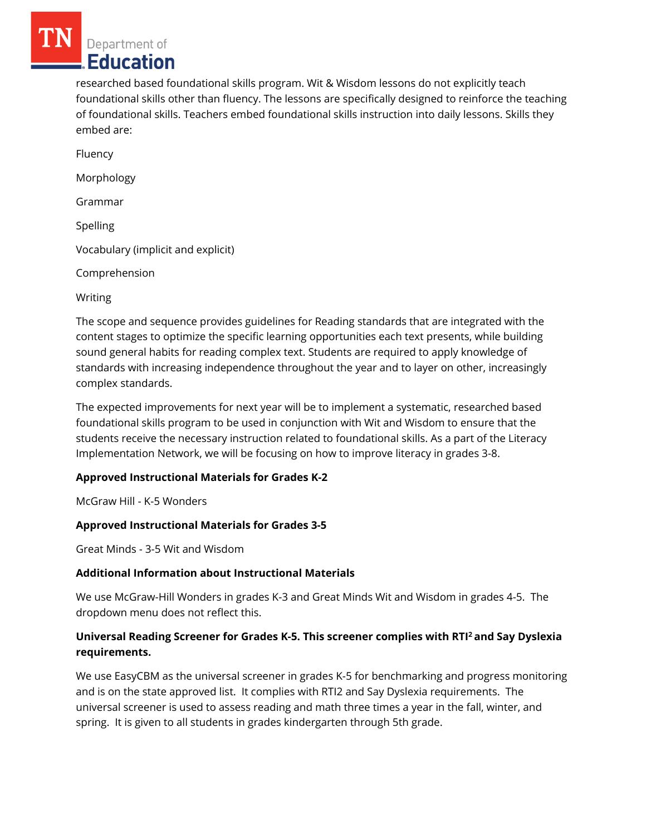Department of Education

researched based foundational skills program. Wit & Wisdom lessons do not explicitly teach foundational skills other than fluency. The lessons are specifically designed to reinforce the teaching of foundational skills. Teachers embed foundational skills instruction into daily lessons. Skills they embed are:

Fluency Morphology Grammar Spelling Vocabulary (implicit and explicit) Comprehension Writing

The scope and sequence provides guidelines for Reading standards that are integrated with the content stages to optimize the specific learning opportunities each text presents, while building sound general habits for reading complex text. Students are required to apply knowledge of standards with increasing independence throughout the year and to layer on other, increasingly complex standards.

The expected improvements for next year will be to implement a systematic, researched based foundational skills program to be used in conjunction with Wit and Wisdom to ensure that the students receive the necessary instruction related to foundational skills. As a part of the Literacy Implementation Network, we will be focusing on how to improve literacy in grades 3-8.

# **Approved Instructional Materials for Grades K-2**

McGraw Hill - K-5 Wonders

# **Approved Instructional Materials for Grades 3-5**

Great Minds - 3-5 Wit and Wisdom

### **Additional Information about Instructional Materials**

We use McGraw-Hill Wonders in grades K-3 and Great Minds Wit and Wisdom in grades 4-5. The dropdown menu does not reflect this.

# **Universal Reading Screener for Grades K-5. This screener complies with RTI<sup>2</sup>and Say Dyslexia requirements.**

We use EasyCBM as the universal screener in grades K-5 for benchmarking and progress monitoring and is on the state approved list. It complies with RTI2 and Say Dyslexia requirements. The universal screener is used to assess reading and math three times a year in the fall, winter, and spring. It is given to all students in grades kindergarten through 5th grade.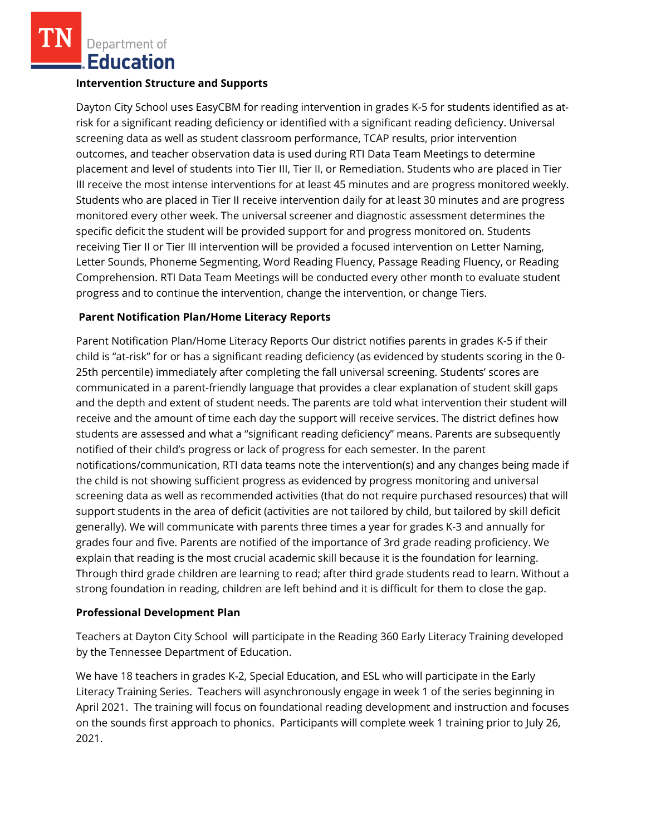Department of **Education** 

#### **Intervention Structure and Supports**

Dayton City School uses EasyCBM for reading intervention in grades K-5 for students identified as atrisk for a significant reading deficiency or identified with a significant reading deficiency. Universal screening data as well as student classroom performance, TCAP results, prior intervention outcomes, and teacher observation data is used during RTI Data Team Meetings to determine placement and level of students into Tier III, Tier II, or Remediation. Students who are placed in Tier III receive the most intense interventions for at least 45 minutes and are progress monitored weekly. Students who are placed in Tier II receive intervention daily for at least 30 minutes and are progress monitored every other week. The universal screener and diagnostic assessment determines the specific deficit the student will be provided support for and progress monitored on. Students receiving Tier II or Tier III intervention will be provided a focused intervention on Letter Naming, Letter Sounds, Phoneme Segmenting, Word Reading Fluency, Passage Reading Fluency, or Reading Comprehension. RTI Data Team Meetings will be conducted every other month to evaluate student progress and to continue the intervention, change the intervention, or change Tiers.

### **Parent Notification Plan/Home Literacy Reports**

Parent Notification Plan/Home Literacy Reports Our district notifies parents in grades K-5 if their child is "at-risk" for or has a significant reading deficiency (as evidenced by students scoring in the 0- 25th percentile) immediately after completing the fall universal screening. Students' scores are communicated in a parent-friendly language that provides a clear explanation of student skill gaps and the depth and extent of student needs. The parents are told what intervention their student will receive and the amount of time each day the support will receive services. The district defines how students are assessed and what a "significant reading deficiency" means. Parents are subsequently notified of their child's progress or lack of progress for each semester. In the parent notifications/communication, RTI data teams note the intervention(s) and any changes being made if the child is not showing sufficient progress as evidenced by progress monitoring and universal screening data as well as recommended activities (that do not require purchased resources) that will support students in the area of deficit (activities are not tailored by child, but tailored by skill deficit generally). We will communicate with parents three times a year for grades K-3 and annually for grades four and five. Parents are notified of the importance of 3rd grade reading proficiency. We explain that reading is the most crucial academic skill because it is the foundation for learning. Through third grade children are learning to read; after third grade students read to learn. Without a strong foundation in reading, children are left behind and it is difficult for them to close the gap.

### **Professional Development Plan**

Teachers at Dayton City School will participate in the Reading 360 Early Literacy Training developed by the Tennessee Department of Education.

We have 18 teachers in grades K-2, Special Education, and ESL who will participate in the Early Literacy Training Series. Teachers will asynchronously engage in week 1 of the series beginning in April 2021. The training will focus on foundational reading development and instruction and focuses on the sounds first approach to phonics. Participants will complete week 1 training prior to July 26, 2021.